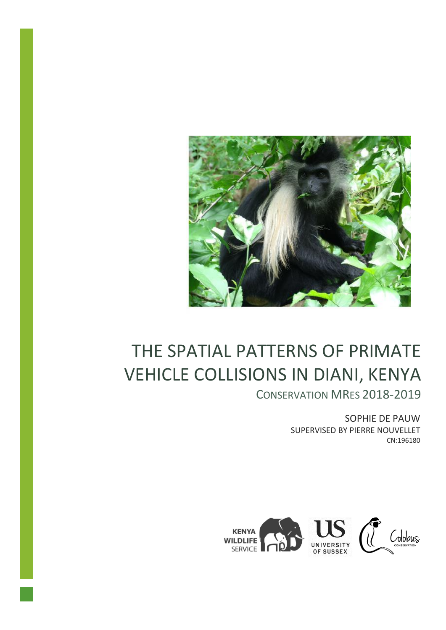

# THE SPATIAL PATTERNS OF PRIMATE VEHICLE COLLISIONS IN DIANI, KENYA

CONSERVATION MRES 2018-2019

SOPHIE DE PAUW SUPERVISED BY PIERRE NOUVELLET CN:196180

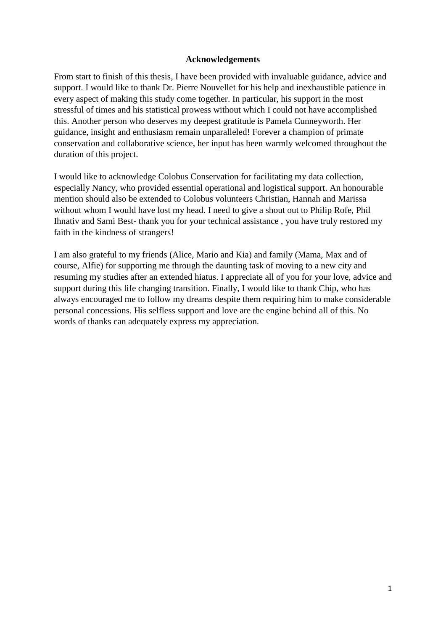#### **Acknowledgements**

From start to finish of this thesis, I have been provided with invaluable guidance, advice and support. I would like to thank Dr. Pierre Nouvellet for his help and inexhaustible patience in every aspect of making this study come together. In particular, his support in the most stressful of times and his statistical prowess without which I could not have accomplished this. Another person who deserves my deepest gratitude is Pamela Cunneyworth. Her guidance, insight and enthusiasm remain unparalleled! Forever a champion of primate conservation and collaborative science, her input has been warmly welcomed throughout the duration of this project.

I would like to acknowledge Colobus Conservation for facilitating my data collection, especially Nancy, who provided essential operational and logistical support. An honourable mention should also be extended to Colobus volunteers Christian, Hannah and Marissa without whom I would have lost my head. I need to give a shout out to Philip Rofe, Phil Ihnativ and Sami Best- thank you for your technical assistance , you have truly restored my faith in the kindness of strangers!

I am also grateful to my friends (Alice, Mario and Kia) and family (Mama, Max and of course, Alfie) for supporting me through the daunting task of moving to a new city and resuming my studies after an extended hiatus. I appreciate all of you for your love, advice and support during this life changing transition. Finally, I would like to thank Chip, who has always encouraged me to follow my dreams despite them requiring him to make considerable personal concessions. His selfless support and love are the engine behind all of this. No words of thanks can adequately express my appreciation.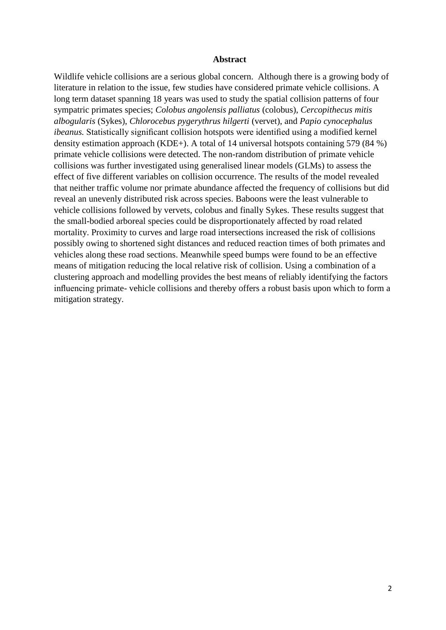#### **Abstract**

Wildlife vehicle collisions are a serious global concern. Although there is a growing body of literature in relation to the issue, few studies have considered primate vehicle collisions. A long term dataset spanning 18 years was used to study the spatial collision patterns of four sympatric primates species; *Colobus angolensis palliatus* (colobus), *Cercopithecus mitis albogularis* (Sykes), *Chlorocebus pygerythrus hilgerti* (vervet), and *Papio cynocephalus ibeanus.* Statistically significant collision hotspots were identified using a modified kernel density estimation approach (KDE+). A total of 14 universal hotspots containing 579 (84 %) primate vehicle collisions were detected. The non-random distribution of primate vehicle collisions was further investigated using generalised linear models (GLMs) to assess the effect of five different variables on collision occurrence. The results of the model revealed that neither traffic volume nor primate abundance affected the frequency of collisions but did reveal an unevenly distributed risk across species. Baboons were the least vulnerable to vehicle collisions followed by vervets, colobus and finally Sykes. These results suggest that the small-bodied arboreal species could be disproportionately affected by road related mortality. Proximity to curves and large road intersections increased the risk of collisions possibly owing to shortened sight distances and reduced reaction times of both primates and vehicles along these road sections. Meanwhile speed bumps were found to be an effective means of mitigation reducing the local relative risk of collision. Using a combination of a clustering approach and modelling provides the best means of reliably identifying the factors influencing primate- vehicle collisions and thereby offers a robust basis upon which to form a mitigation strategy.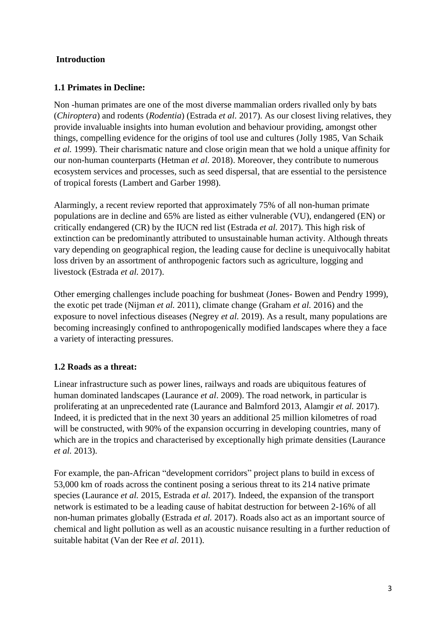#### **Introduction**

#### **1.1 Primates in Decline:**

Non -human primates are one of the most diverse mammalian orders rivalled only by bats (*Chiroptera*) and rodents (*Rodentia*) (Estrada *et al.* 2017). As our closest living relatives, they provide invaluable insights into human evolution and behaviour providing, amongst other things, compelling evidence for the origins of tool use and cultures (Jolly 1985, Van Schaik *et al.* 1999). Their charismatic nature and close origin mean that we hold a unique affinity for our non-human counterparts (Hetman *et al.* 2018). Moreover, they contribute to numerous ecosystem services and processes, such as seed dispersal, that are essential to the persistence of tropical forests (Lambert and Garber 1998).

Alarmingly, a recent review reported that approximately 75% of all non-human primate populations are in decline and 65% are listed as either vulnerable (VU), endangered (EN) or critically endangered (CR) by the IUCN red list (Estrada *et al.* 2017). This high risk of extinction can be predominantly attributed to unsustainable human activity. Although threats vary depending on geographical region, the leading cause for decline is unequivocally habitat loss driven by an assortment of anthropogenic factors such as agriculture, logging and livestock (Estrada *et al.* 2017).

Other emerging challenges include poaching for bushmeat (Jones- Bowen and Pendry 1999), the exotic pet trade (Nijman *et al.* 2011), climate change (Graham *et al.* 2016) and the exposure to novel infectious diseases (Negrey *et al.* 2019). As a result, many populations are becoming increasingly confined to anthropogenically modified landscapes where they a face a variety of interacting pressures.

## **1.2 Roads as a threat:**

Linear infrastructure such as power lines, railways and roads are ubiquitous features of human dominated landscapes (Laurance *et al*. 2009). The road network, in particular is proliferating at an unprecedented rate (Laurance and Balmford 2013, Alamgir *et al.* 2017). Indeed, it is predicted that in the next 30 years an additional 25 million kilometres of road will be constructed, with 90% of the expansion occurring in developing countries, many of which are in the tropics and characterised by exceptionally high primate densities (Laurance *et al.* 2013).

For example, the pan-African "development corridors" project plans to build in excess of 53,000 km of roads across the continent posing a serious threat to its 214 native primate species (Laurance *et al.* 2015, Estrada *et al.* 2017). Indeed, the expansion of the transport network is estimated to be a leading cause of habitat destruction for between 2-16% of all non-human primates globally (Estrada *et al.* 2017). Roads also act as an important source of chemical and light pollution as well as an acoustic nuisance resulting in a further reduction of suitable habitat (Van der Ree *et al.* 2011).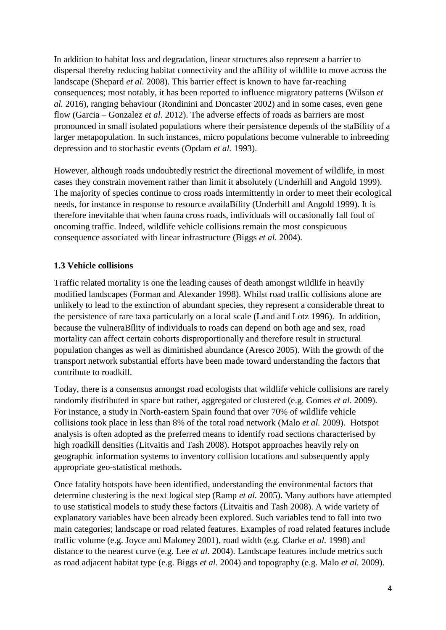In addition to habitat loss and degradation, linear structures also represent a barrier to dispersal thereby reducing habitat connectivity and the aBílity of wildlife to move across the landscape (Shepard *et al.* 2008). This barrier effect is known to have far-reaching consequences; most notably, it has been reported to influence migratory patterns (Wilson *et al.* 2016), ranging behaviour (Rondinini and Doncaster 2002) and in some cases, even gene flow (Garcia – Gonzalez *et al*. 2012). The adverse effects of roads as barriers are most pronounced in small isolated populations where their persistence depends of the staBílity of a larger metapopulation. In such instances, micro populations become vulnerable to inbreeding depression and to stochastic events (Opdam *et al.* 1993).

However, although roads undoubtedly restrict the directional movement of wildlife, in most cases they constrain movement rather than limit it absolutely (Underhill and Angold 1999). The majority of species continue to cross roads intermittently in order to meet their ecological needs, for instance in response to resource availaBílity (Underhill and Angold 1999). It is therefore inevitable that when fauna cross roads, individuals will occasionally fall foul of oncoming traffic. Indeed, wildlife vehicle collisions remain the most conspicuous consequence associated with linear infrastructure (Biggs *et al.* 2004).

#### **1.3 Vehicle collisions**

Traffic related mortality is one the leading causes of death amongst wildlife in heavily modified landscapes (Forman and Alexander 1998). Whilst road traffic collisions alone are unlikely to lead to the extinction of abundant species, they represent a considerable threat to the persistence of rare taxa particularly on a local scale (Land and Lotz 1996). In addition, because the vulneraBílity of individuals to roads can depend on both age and sex, road mortality can affect certain cohorts disproportionally and therefore result in structural population changes as well as diminished abundance (Aresco 2005). With the growth of the transport network substantial efforts have been made toward understanding the factors that contribute to roadkill.

Today, there is a consensus amongst road ecologists that wildlife vehicle collisions are rarely randomly distributed in space but rather, aggregated or clustered (e.g. Gomes *et al.* 2009). For instance, a study in North-eastern Spain found that over 70% of wildlife vehicle collisions took place in less than 8% of the total road network (Malo *et al.* 2009). Hotspot analysis is often adopted as the preferred means to identify road sections characterised by high roadkill densities (Litvaitis and Tash 2008). Hotspot approaches heavily rely on geographic information systems to inventory collision locations and subsequently apply appropriate geo-statistical methods.

Once fatality hotspots have been identified, understanding the environmental factors that determine clustering is the next logical step (Ramp *et al.* 2005). Many authors have attempted to use statistical models to study these factors (Litvaitis and Tash 2008). A wide variety of explanatory variables have been already been explored. Such variables tend to fall into two main categories; landscape or road related features. Examples of road related features include traffic volume (e.g. Joyce and Maloney 2001), road width (e.g. Clarke *et al.* 1998) and distance to the nearest curve (e.g. Lee *et al*. 2004). Landscape features include metrics such as road adjacent habitat type (e.g. Biggs *et al.* 2004) and topography (e.g. Malo *et al.* 2009).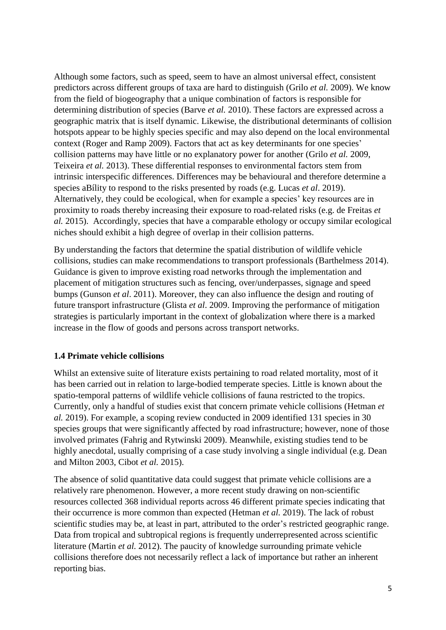Although some factors, such as speed, seem to have an almost universal effect, consistent predictors across different groups of taxa are hard to distinguish (Grilo *et al.* 2009). We know from the field of biogeography that a unique combination of factors is responsible for determining distribution of species (Barve *et al.* 2010). These factors are expressed across a geographic matrix that is itself dynamic. Likewise, the distributional determinants of collision hotspots appear to be highly species specific and may also depend on the local environmental context (Roger and Ramp 2009). Factors that act as key determinants for one species' collision patterns may have little or no explanatory power for another (Grilo *et al.* 2009, Teixeira *et al.* 2013). These differential responses to environmental factors stem from intrinsic interspecific differences. Differences may be behavioural and therefore determine a species aBílity to respond to the risks presented by roads (e.g. Lucas *et al*. 2019). Alternatively, they could be ecological, when for example a species' key resources are in proximity to roads thereby increasing their exposure to road-related risks (e.g. de Freitas *et al.* 2015). Accordingly, species that have a comparable ethology or occupy similar ecological niches should exhibit a high degree of overlap in their collision patterns.

By understanding the factors that determine the spatial distribution of wildlife vehicle collisions, studies can make recommendations to transport professionals (Barthelmess 2014). Guidance is given to improve existing road networks through the implementation and placement of mitigation structures such as fencing, over/underpasses, signage and speed bumps (Gunson *et al*. 2011). Moreover, they can also influence the design and routing of future transport infrastructure (Glista *et al*. 2009. Improving the performance of mitigation strategies is particularly important in the context of globalization where there is a marked increase in the flow of goods and persons across transport networks.

## **1.4 Primate vehicle collisions**

Whilst an extensive suite of literature exists pertaining to road related mortality, most of it has been carried out in relation to large-bodied temperate species. Little is known about the spatio-temporal patterns of wildlife vehicle collisions of fauna restricted to the tropics. Currently, only a handful of studies exist that concern primate vehicle collisions (Hetman *et al.* 2019). For example, a scoping review conducted in 2009 identified 131 species in 30 species groups that were significantly affected by road infrastructure; however, none of those involved primates (Fahrig and Rytwinski 2009). Meanwhile, existing studies tend to be highly anecdotal, usually comprising of a case study involving a single individual (e.g. Dean and Milton 2003, Cibot *et al.* 2015).

The absence of solid quantitative data could suggest that primate vehicle collisions are a relatively rare phenomenon. However, a more recent study drawing on non-scientific resources collected 368 individual reports across 46 different primate species indicating that their occurrence is more common than expected (Hetman *et al.* 2019). The lack of robust scientific studies may be, at least in part, attributed to the order's restricted geographic range. Data from tropical and subtropical regions is frequently underrepresented across scientific literature (Martin *et al.* 2012). The paucity of knowledge surrounding primate vehicle collisions therefore does not necessarily reflect a lack of importance but rather an inherent reporting bias.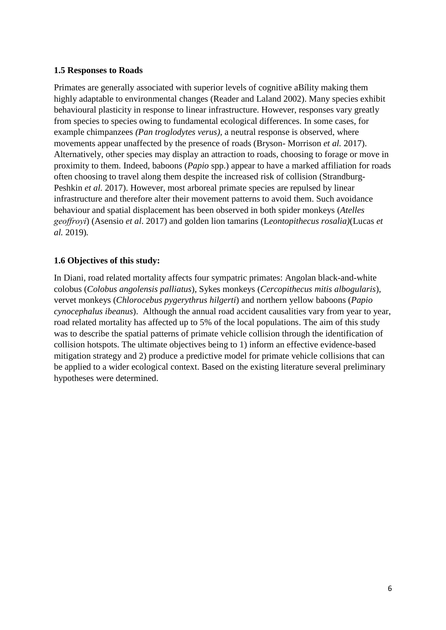#### **1.5 Responses to Roads**

Primates are generally associated with superior levels of cognitive aBílity making them highly adaptable to environmental changes (Reader and Laland 2002). Many species exhibit behavioural plasticity in response to linear infrastructure. However, responses vary greatly from species to species owing to fundamental ecological differences. In some cases, for example chimpanzees *(Pan troglodytes verus),* a neutral response is observed, where movements appear unaffected by the presence of roads (Bryson- Morrison *et al.* 2017). Alternatively, other species may display an attraction to roads, choosing to forage or move in proximity to them. Indeed, baboons (*Papio* spp.) appear to have a marked affiliation for roads often choosing to travel along them despite the increased risk of collision (Strandburg-Peshkin *et al.* 2017). However, most arboreal primate species are repulsed by linear infrastructure and therefore alter their movement patterns to avoid them. Such avoidance behaviour and spatial displacement has been observed in both spider monkeys (*Atelles geoffroyi*) (Asensio *et al*. 2017) and golden lion tamarins (L*eontopithecus rosalia)*(Lucas *et al.* 2019)*.*

#### **1.6 Objectives of this study:**

In Diani, road related mortality affects four sympatric primates: Angolan black-and-white colobus (*Colobus angolensis palliatus*), Sykes monkeys (*Cercopithecus mitis albogularis*), vervet monkeys (*Chlorocebus pygerythrus hilgerti*) and northern yellow baboons (*Papio cynocephalus ibeanus*). Although the annual road accident causalities vary from year to year, road related mortality has affected up to 5% of the local populations. The aim of this study was to describe the spatial patterns of primate vehicle collision through the identification of collision hotspots. The ultimate objectives being to 1) inform an effective evidence-based mitigation strategy and 2) produce a predictive model for primate vehicle collisions that can be applied to a wider ecological context. Based on the existing literature several preliminary hypotheses were determined.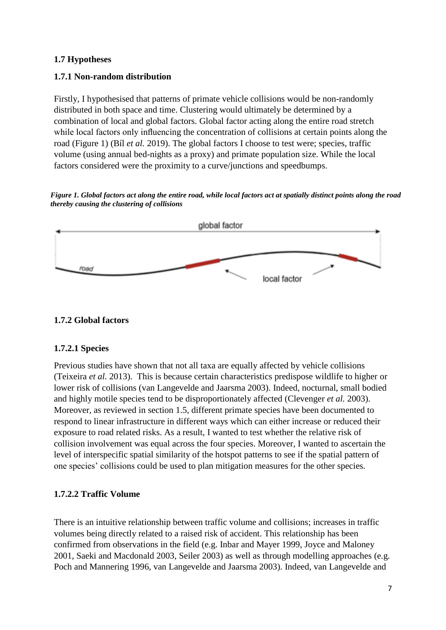#### **1.7 Hypotheses**

#### **1.7.1 Non-random distribution**

Firstly, I hypothesised that patterns of primate vehicle collisions would be non-randomly distributed in both space and time. Clustering would ultimately be determined by a combination of local and global factors. Global factor acting along the entire road stretch while local factors only influencing the concentration of collisions at certain points along the road (Figure 1) (Bíl *et al.* 2019). The global factors I choose to test were; species, traffic volume (using annual bed-nights as a proxy) and primate population size. While the local factors considered were the proximity to a curve/junctions and speedbumps.

*Figure 1. Global factors act along the entire road, while local factors act at spatially distinct points along the road thereby causing the clustering of collisions*



#### **1.7.2 Global factors**

#### **1.7.2.1 Species**

Previous studies have shown that not all taxa are equally affected by vehicle collisions (Teixeira *et al.* 2013). This is because certain characteristics predispose wildlife to higher or lower risk of collisions (van Langevelde and Jaarsma 2003). Indeed, nocturnal, small bodied and highly motile species tend to be disproportionately affected (Clevenger *et al.* 2003). Moreover, as reviewed in section 1.5, different primate species have been documented to respond to linear infrastructure in different ways which can either increase or reduced their exposure to road related risks. As a result, I wanted to test whether the relative risk of collision involvement was equal across the four species. Moreover, I wanted to ascertain the level of interspecific spatial similarity of the hotspot patterns to see if the spatial pattern of one species' collisions could be used to plan mitigation measures for the other species.

## **1.7.2.2 Traffic Volume**

There is an intuitive relationship between traffic volume and collisions; increases in traffic volumes being directly related to a raised risk of accident. This relationship has been confirmed from observations in the field (e.g. Inbar and Mayer 1999, Joyce and Maloney 2001, Saeki and Macdonald 2003, Seiler 2003) as well as through modelling approaches (e.g. Poch and Mannering 1996, van Langevelde and Jaarsma 2003). Indeed, van Langevelde and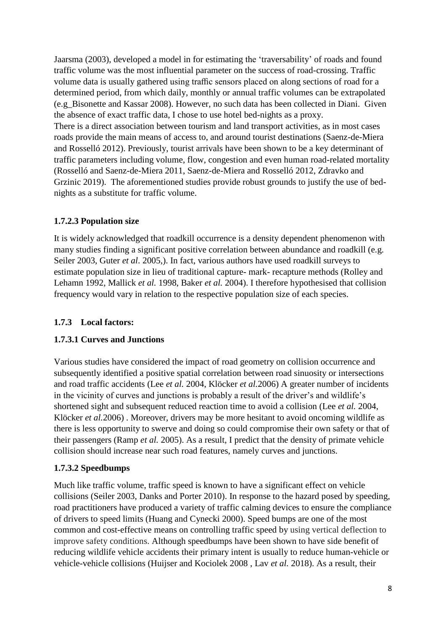Jaarsma (2003), developed a model in for estimating the 'traversability' of roads and found traffic volume was the most influential parameter on the success of road-crossing. Traffic volume data is usually gathered using traffic sensors placed on along sections of road for a determined period, from which daily, monthly or annual traffic volumes can be extrapolated (e.g\_Bisonette and Kassar 2008). However, no such data has been collected in Diani. Given the absence of exact traffic data, I chose to use hotel bed-nights as a proxy. There is a direct association between tourism and land transport activities, as in most cases roads provide the main means of access to, and around tourist destinations (Saenz-de-Miera and Rosselló 2012). Previously, tourist arrivals have been shown to be a key determinant of traffic parameters including volume, flow, congestion and even human road-related mortality (Rosselló and Saenz-de-Miera 2011, Saenz-de-Miera and Rosselló 2012, Zdravko and Grzinic 2019). The aforementioned studies provide robust grounds to justify the use of bednights as a substitute for traffic volume.

#### **1.7.2.3 Population size**

It is widely acknowledged that roadkill occurrence is a density dependent phenomenon with many studies finding a significant positive correlation between abundance and roadkill (e.g. Seiler 2003, Guter *et al*. 2005,). In fact, various authors have used roadkill surveys to estimate population size in lieu of traditional capture- mark- recapture methods (Rolley and Lehamn 1992, Mallick *et al.* 1998, Baker *et al.* 2004). I therefore hypothesised that collision frequency would vary in relation to the respective population size of each species.

## **1.7.3 Local factors:**

## **1.7.3.1 Curves and Junctions**

Various studies have considered the impact of road geometry on collision occurrence and subsequently identified a positive spatial correlation between road sinuosity or intersections and road traffic accidents (Lee *et al.* 2004, Klöcker *et al.*2006) A greater number of incidents in the vicinity of curves and junctions is probably a result of the driver's and wildlife's shortened sight and subsequent reduced reaction time to avoid a collision (Lee *et al.* 2004, Klöcker *et al.*2006) . Moreover, drivers may be more hesitant to avoid oncoming wildlife as there is less opportunity to swerve and doing so could compromise their own safety or that of their passengers (Ramp *et al.* 2005). As a result, I predict that the density of primate vehicle collision should increase near such road features, namely curves and junctions.

## **1.7.3.2 Speedbumps**

Much like traffic volume, traffic speed is known to have a significant effect on vehicle collisions (Seiler 2003, Danks and Porter 2010). In response to the hazard posed by speeding, road practitioners have produced a variety of traffic calming devices to ensure the compliance of drivers to speed limits (Huang and Cynecki 2000). Speed bumps are one of the most common and cost-effective means on controlling traffic speed by using vertical deflection to improve safety conditions. Although speedbumps have been shown to have side benefit of reducing wildlife vehicle accidents their primary intent is usually to reduce human-vehicle or vehicle-vehicle collisions (Huijser and Kociolek 2008 , Lav *et al.* 2018). As a result, their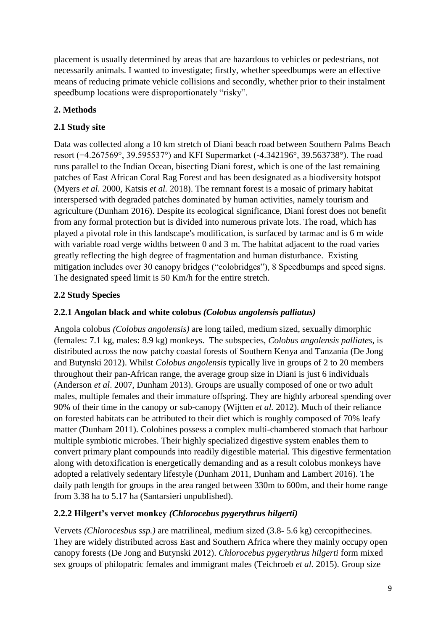placement is usually determined by areas that are hazardous to vehicles or pedestrians, not necessarily animals. I wanted to investigate; firstly, whether speedbumps were an effective means of reducing primate vehicle collisions and secondly, whether prior to their instalment speedbump locations were disproportionately "risky".

# **2. Methods**

# **2.1 Study site**

Data was collected along a 10 km stretch of Diani beach road between Southern Palms Beach resort (−4.267569°, 39.595537°) and KFI Supermarket (-4.342196°, 39.563738°). The road runs parallel to the Indian Ocean, bisecting Diani forest, which is one of the last remaining patches of East African Coral Rag Forest and has been designated as a biodiversity hotspot (Myers *et al.* 2000, Katsis *et al.* 2018). The remnant forest is a mosaic of primary habitat interspersed with degraded patches dominated by human activities, namely tourism and agriculture (Dunham 2016). Despite its ecological significance, Diani forest does not benefit from any formal protection but is divided into numerous private lots. The road, which has played a pivotal role in this landscape's modification, is surfaced by tarmac and is 6 m wide with variable road verge widths between 0 and 3 m. The habitat adjacent to the road varies greatly reflecting the high degree of fragmentation and human disturbance. Existing mitigation includes over 30 canopy bridges ("colobridges"), 8 Speedbumps and speed signs. The designated speed limit is 50 Km/h for the entire stretch.

# **2.2 Study Species**

## **2.2.1 Angolan black and white colobus** *(Colobus angolensis palliatus)*

Angola colobus *(Colobus angolensis)* are long tailed, medium sized, sexually dimorphic (females: 7.1 kg, males: 8.9 kg) monkeys. The subspecies, *Colobus angolensis palliates*, is distributed across the now patchy coastal forests of Southern Kenya and Tanzania (De Jong and Butynski 2012). Whilst *Colobus angolensis* typically live in groups of 2 to 20 members throughout their pan-African range, the average group size in Diani is just 6 individuals (Anderson *et al*. 2007, Dunham 2013). Groups are usually composed of one or two adult males, multiple females and their immature offspring. They are highly arboreal spending over 90% of their time in the canopy or sub-canopy (Wijtten *et al.* 2012). Much of their reliance on forested habitats can be attributed to their diet which is roughly composed of 70% leafy matter (Dunham 2011). Colobines possess a complex multi-chambered stomach that harbour multiple symbiotic microbes. Their highly specialized digestive system enables them to convert primary plant compounds into readily digestible material. This digestive fermentation along with detoxification is energetically demanding and as a result colobus monkeys have adopted a relatively sedentary lifestyle (Dunham 2011, Dunham and Lambert 2016). The daily path length for groups in the area ranged between 330m to 600m, and their home range from 3.38 ha to 5.17 ha (Santarsieri unpublished).

## **2.2.2 Hilgert's vervet monkey** *(Chlorocebus pygerythrus hilgerti)*

Vervets *(Chlorocesbus ssp.)* are matrilineal, medium sized (3.8- 5.6 kg) cercopithecines. They are widely distributed across East and Southern Africa where they mainly occupy open canopy forests (De Jong and Butynski 2012). *Chlorocebus pygerythrus hilgerti* form mixed sex groups of philopatric females and immigrant males (Teichroeb *et al.* 2015). Group size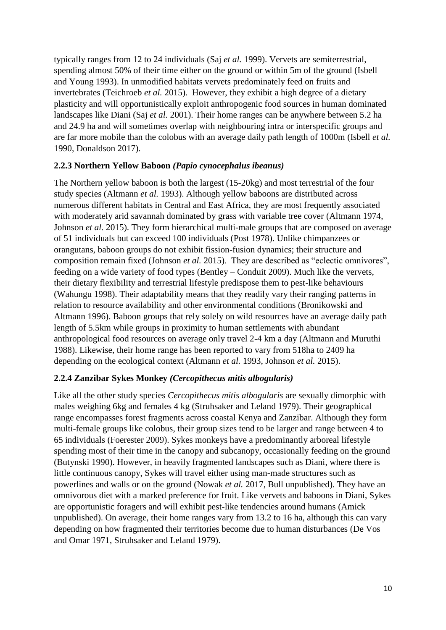typically ranges from 12 to 24 individuals (Saj *et al.* 1999). Vervets are semiterrestrial, spending almost 50% of their time either on the ground or within 5m of the ground (Isbell and Young 1993). In unmodified habitats vervets predominately feed on fruits and invertebrates (Teichroeb *et al.* 2015). However, they exhibit a high degree of a dietary plasticity and will opportunistically exploit anthropogenic food sources in human dominated landscapes like Diani (Saj *et al.* 2001). Their home ranges can be anywhere between 5.2 ha and 24.9 ha and will sometimes overlap with neighbouring intra or interspecific groups and are far more mobile than the colobus with an average daily path length of 1000m (Isbell *et al.* 1990, Donaldson 2017).

#### **2.2.3 Northern Yellow Baboon** *(Papio cynocephalus ibeanus)*

The Northern yellow baboon is both the largest (15-20kg) and most terrestrial of the four study species (Altmann *et al.* 1993). Although yellow baboons are distributed across numerous different habitats in Central and East Africa, they are most frequently associated with moderately arid savannah dominated by grass with variable tree cover (Altmann 1974, Johnson *et al.* 2015). They form hierarchical multi-male groups that are composed on average of 51 individuals but can exceed 100 individuals (Post 1978). Unlike chimpanzees or orangutans, baboon groups do not exhibit fission-fusion dynamics; their structure and composition remain fixed (Johnson *et al.* 2015). They are described as "eclectic omnivores", feeding on a wide variety of food types (Bentley – Conduit 2009). Much like the vervets, their dietary flexibility and terrestrial lifestyle predispose them to pest-like behaviours (Wahungu 1998). Their adaptability means that they readily vary their ranging patterns in relation to resource availability and other environmental conditions (Bronikowski and Altmann 1996). Baboon groups that rely solely on wild resources have an average daily path length of 5.5km while groups in proximity to human settlements with abundant anthropological food resources on average only travel 2-4 km a day (Altmann and Muruthi 1988). Likewise, their home range has been reported to vary from 518ha to 2409 ha depending on the ecological context (Altmann *et al.* 1993, Johnson *et al.* 2015).

#### **2.2.4 Zanzibar Sykes Monkey** *(Cercopithecus mitis albogularis)*

Like all the other study species *Cercopithecus mitis albogularis* are sexually dimorphic with males weighing 6kg and females 4 kg (Struhsaker and Leland 1979). Their geographical range encompasses forest fragments across coastal Kenya and Zanzibar. Although they form multi-female groups like colobus, their group sizes tend to be larger and range between 4 to 65 individuals (Foerester 2009). Sykes monkeys have a predominantly arboreal lifestyle spending most of their time in the canopy and subcanopy, occasionally feeding on the ground (Butynski 1990). However, in heavily fragmented landscapes such as Diani, where there is little continuous canopy, Sykes will travel either using man-made structures such as powerlines and walls or on the ground (Nowak *et al.* 2017, Bull unpublished). They have an omnivorous diet with a marked preference for fruit. Like vervets and baboons in Diani, Sykes are opportunistic foragers and will exhibit pest-like tendencies around humans (Amick unpublished). On average, their home ranges vary from 13.2 to 16 ha, although this can vary depending on how fragmented their territories become due to human disturbances (De Vos and Omar 1971, Struhsaker and Leland 1979).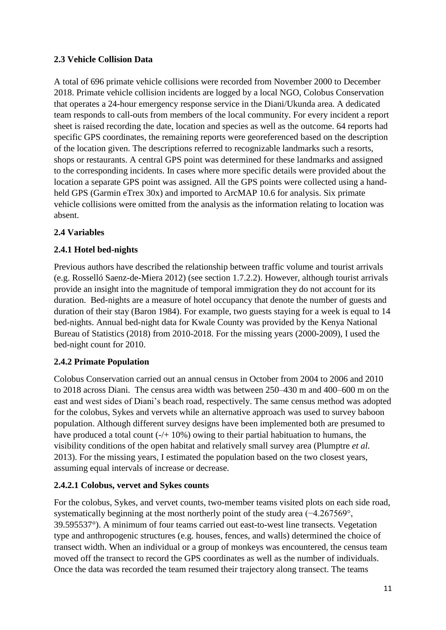## **2.3 Vehicle Collision Data**

A total of 696 primate vehicle collisions were recorded from November 2000 to December 2018. Primate vehicle collision incidents are logged by a local NGO, Colobus Conservation that operates a 24-hour emergency response service in the Diani/Ukunda area. A dedicated team responds to call-outs from members of the local community. For every incident a report sheet is raised recording the date, location and species as well as the outcome. 64 reports had specific GPS coordinates, the remaining reports were georeferenced based on the description of the location given. The descriptions referred to recognizable landmarks such a resorts, shops or restaurants. A central GPS point was determined for these landmarks and assigned to the corresponding incidents. In cases where more specific details were provided about the location a separate GPS point was assigned. All the GPS points were collected using a handheld GPS (Garmin eTrex 30x) and imported to ArcMAP 10.6 for analysis. Six primate vehicle collisions were omitted from the analysis as the information relating to location was absent.

## **2.4 Variables**

## **2.4.1 Hotel bed-nights**

Previous authors have described the relationship between traffic volume and tourist arrivals (e.g. Rosselló Saenz-de-Miera 2012) (see section 1.7.2.2). However, although tourist arrivals provide an insight into the magnitude of temporal immigration they do not account for its duration. Bed-nights are a measure of hotel occupancy that denote the number of guests and duration of their stay (Baron 1984). For example, two guests staying for a week is equal to 14 bed-nights. Annual bed-night data for Kwale County was provided by the Kenya National Bureau of Statistics (2018) from 2010-2018. For the missing years (2000-2009), I used the bed-night count for 2010.

## **2.4.2 Primate Population**

Colobus Conservation carried out an annual census in October from 2004 to 2006 and 2010 to 2018 across Diani. The census area width was between 250–430 m and 400–600 m on the east and west sides of Diani's beach road, respectively. The same census method was adopted for the colobus, Sykes and vervets while an alternative approach was used to survey baboon population. Although different survey designs have been implemented both are presumed to have produced a total count (-/+ 10%) owing to their partial habituation to humans, the visibility conditions of the open habitat and relatively small survey area (Plumptre *et al.* 2013). For the missing years, I estimated the population based on the two closest years, assuming equal intervals of increase or decrease.

#### **2.4.2.1 Colobus, vervet and Sykes counts**

For the colobus, Sykes, and vervet counts, two-member teams visited plots on each side road, systematically beginning at the most northerly point of the study area (−4.267569°, 39.595537°). A minimum of four teams carried out east-to-west line transects. Vegetation type and anthropogenic structures (e.g. houses, fences, and walls) determined the choice of transect width. When an individual or a group of monkeys was encountered, the census team moved off the transect to record the GPS coordinates as well as the number of individuals. Once the data was recorded the team resumed their trajectory along transect. The teams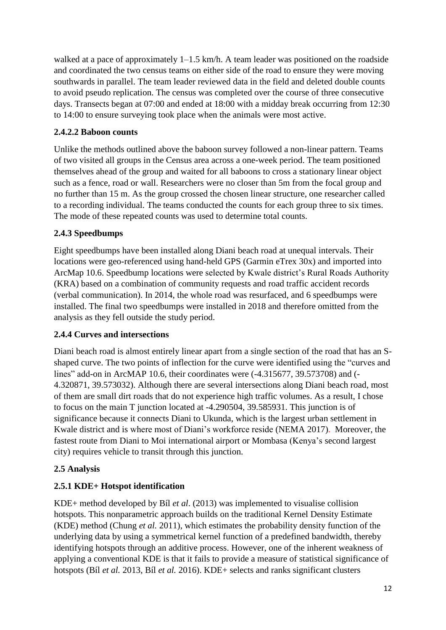walked at a pace of approximately 1–1.5 km/h. A team leader was positioned on the roadside and coordinated the two census teams on either side of the road to ensure they were moving southwards in parallel. The team leader reviewed data in the field and deleted double counts to avoid pseudo replication. The census was completed over the course of three consecutive days. Transects began at 07:00 and ended at 18:00 with a midday break occurring from 12:30 to 14:00 to ensure surveying took place when the animals were most active.

## **2.4.2.2 Baboon counts**

Unlike the methods outlined above the baboon survey followed a non-linear pattern. Teams of two visited all groups in the Census area across a one-week period. The team positioned themselves ahead of the group and waited for all baboons to cross a stationary linear object such as a fence, road or wall. Researchers were no closer than 5m from the focal group and no further than 15 m. As the group crossed the chosen linear structure, one researcher called to a recording individual. The teams conducted the counts for each group three to six times. The mode of these repeated counts was used to determine total counts.

## **2.4.3 Speedbumps**

Eight speedbumps have been installed along Diani beach road at unequal intervals. Their locations were geo-referenced using hand-held GPS (Garmin eTrex 30x) and imported into ArcMap 10.6. Speedbump locations were selected by Kwale district's Rural Roads Authority (KRA) based on a combination of community requests and road traffic accident records (verbal communication). In 2014, the whole road was resurfaced, and 6 speedbumps were installed. The final two speedbumps were installed in 2018 and therefore omitted from the analysis as they fell outside the study period.

## **2.4.4 Curves and intersections**

Diani beach road is almost entirely linear apart from a single section of the road that has an Sshaped curve. The two points of inflection for the curve were identified using the "curves and lines" add-on in ArcMAP 10.6, their coordinates were (-4.315677, 39.573708) and (- 4.320871, 39.573032). Although there are several intersections along Diani beach road, most of them are small dirt roads that do not experience high traffic volumes. As a result, I chose to focus on the main T junction located at -4.290504, 39.585931. This junction is of significance because it connects Diani to Ukunda, which is the largest urban settlement in Kwale district and is where most of Diani's workforce reside (NEMA 2017). Moreover, the fastest route from Diani to Moi international airport or Mombasa (Kenya's second largest city) requires vehicle to transit through this junction.

## **2.5 Analysis**

## **2.5.1 KDE+ Hotspot identification**

KDE+ method developed by Bíl *et al*. (2013) was implemented to visualise collision hotspots. This nonparametric approach builds on the traditional Kernel Density Estimate (KDE) method (Chung *et al.* 2011), which estimates the probability density function of the underlying data by using a symmetrical kernel function of a predefined bandwidth, thereby identifying hotspots through an additive process. However, one of the inherent weakness of applying a conventional KDE is that it fails to provide a measure of statistical significance of hotspots (Bíl *et al.* 2013, Bíl *et al.* 2016). KDE+ selects and ranks significant clusters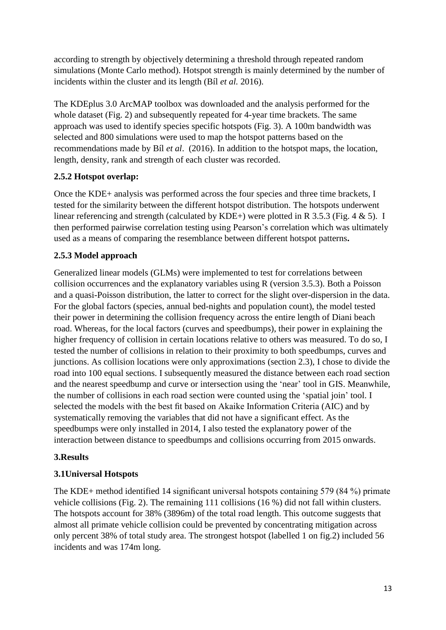according to strength by objectively determining a threshold through repeated random simulations (Monte Carlo method). Hotspot strength is mainly determined by the number of incidents within the cluster and its length (Bíl *et al.* 2016).

The KDEplus 3.0 ArcMAP toolbox was downloaded and the analysis performed for the whole dataset (Fig. 2) and subsequently repeated for 4-year time brackets. The same approach was used to identify species specific hotspots (Fig. 3). A 100m bandwidth was selected and 800 simulations were used to map the hotspot patterns based on the recommendations made by Bíl *et al*. (2016). In addition to the hotspot maps, the location, length, density, rank and strength of each cluster was recorded.

## **2.5.2 Hotspot overlap:**

Once the KDE+ analysis was performed across the four species and three time brackets, I tested for the similarity between the different hotspot distribution. The hotspots underwent linear referencing and strength (calculated by KDE+) were plotted in R 3.5.3 (Fig. 4 & 5). I then performed pairwise correlation testing using Pearson's correlation which was ultimately used as a means of comparing the resemblance between different hotspot patterns**.**

# **2.5.3 Model approach**

Generalized linear models (GLMs) were implemented to test for correlations between collision occurrences and the explanatory variables using R (version 3.5.3). Both a Poisson and a quasi-Poisson distribution, the latter to correct for the slight over-dispersion in the data. For the global factors (species, annual bed-nights and population count), the model tested their power in determining the collision frequency across the entire length of Diani beach road. Whereas, for the local factors (curves and speedbumps), their power in explaining the higher frequency of collision in certain locations relative to others was measured. To do so, I tested the number of collisions in relation to their proximity to both speedbumps, curves and junctions. As collision locations were only approximations (section 2.3), I chose to divide the road into 100 equal sections. I subsequently measured the distance between each road section and the nearest speedbump and curve or intersection using the 'near' tool in GIS. Meanwhile, the number of collisions in each road section were counted using the 'spatial join' tool. I selected the models with the best fit based on Akaike Information Criteria (AIC) and by systematically removing the variables that did not have a significant effect. As the speedbumps were only installed in 2014, I also tested the explanatory power of the interaction between distance to speedbumps and collisions occurring from 2015 onwards.

## **3.Results**

## **3.1Universal Hotspots**

The KDE+ method identified 14 significant universal hotspots containing 579 (84 %) primate vehicle collisions (Fig. 2). The remaining 111 collisions (16 %) did not fall within clusters. The hotspots account for 38% (3896m) of the total road length. This outcome suggests that almost all primate vehicle collision could be prevented by concentrating mitigation across only percent 38% of total study area. The strongest hotspot (labelled 1 on fig.2) included 56 incidents and was 174m long.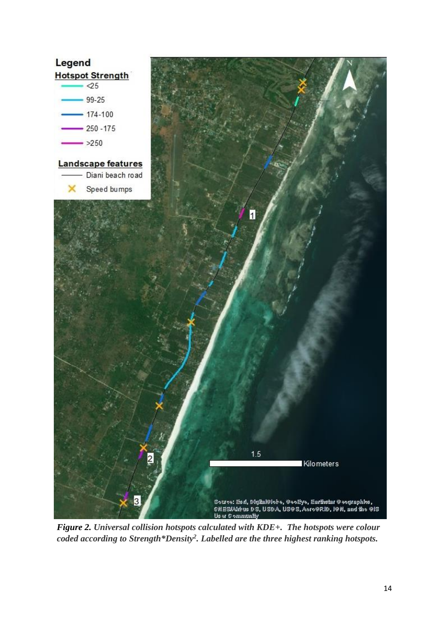

*Figure 2. Universal collision hotspots calculated with KDE+. The hotspots were colour coded according to Strength\*Density<sup>2</sup> . Labelled are the three highest ranking hotspots.*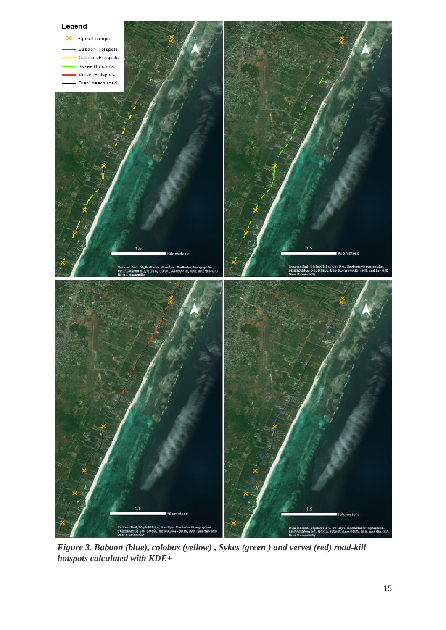

*Figure 3. Baboon (blue), colobus (yellow) , Sykes (green ) and vervet (red) road-kill hotspots calculated with KDE+*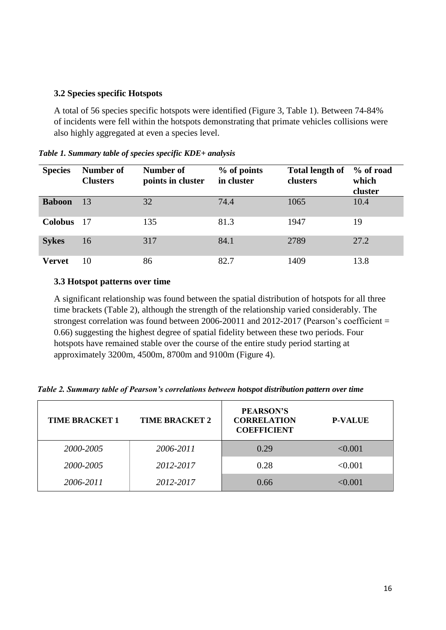#### **3.2 Species specific Hotspots**

A total of 56 species specific hotspots were identified (Figure 3, Table 1). Between 74-84% of incidents were fell within the hotspots demonstrating that primate vehicles collisions were also highly aggregated at even a species level.

| <b>Species</b> | Number of<br><b>Clusters</b> | Number of<br>points in cluster | % of points<br>in cluster | <b>Total length of</b><br>clusters | % of road<br>which<br>cluster |
|----------------|------------------------------|--------------------------------|---------------------------|------------------------------------|-------------------------------|
| <b>Baboon</b>  | 13                           | 32                             | 74.4                      | 1065                               | 10.4                          |
| <b>Colobus</b> | -17                          | 135                            | 81.3                      | 1947                               | 19                            |
| <b>Sykes</b>   | 16                           | 317                            | 84.1                      | 2789                               | 27.2                          |
| <b>Vervet</b>  | 10                           | 86                             | 82.7                      | 1409                               | 13.8                          |

*Table 1. Summary table of species specific KDE+ analysis* 

#### **3.3 Hotspot patterns over time**

A significant relationship was found between the spatial distribution of hotspots for all three time brackets (Table 2), although the strength of the relationship varied considerably. The strongest correlation was found between 2006-20011 and 2012-2017 (Pearson's coefficient = 0.66) suggesting the highest degree of spatial fidelity between these two periods. Four hotspots have remained stable over the course of the entire study period starting at approximately 3200m, 4500m, 8700m and 9100m (Figure 4).

| <b>TIME BRACKET 1</b> | <b>TIME BRACKET 2</b> | <b>PEARSON'S</b><br><b>CORRELATION</b><br><b>COEFFICIENT</b> | <b>P-VALUE</b> |
|-----------------------|-----------------------|--------------------------------------------------------------|----------------|
| 2000-2005             | 2006-2011             | 0.29                                                         | < 0.001        |
| 2000-2005             | 2012-2017             | 0.28                                                         | < 0.001        |
| 2006-2011             | 2012-2017             | 0.66                                                         | < 0.001        |

*Table 2. Summary table of Pearson's correlations between hotspot distribution pattern over time*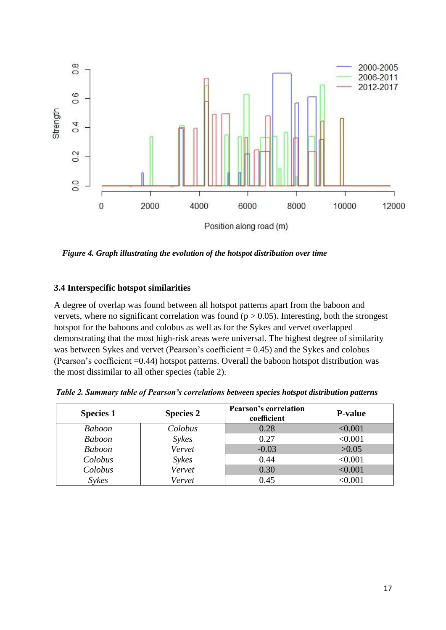

 *Figure 4. Graph illustrating the evolution of the hotspot distribution over time*

#### **3.4 Interspecific hotspot similarities**

A degree of overlap was found between all hotspot patterns apart from the baboon and vervets, where no significant correlation was found ( $p > 0.05$ ). Interesting, both the strongest hotspot for the baboons and colobus as well as for the Sykes and vervet overlapped demonstrating that the most high-risk areas were universal. The highest degree of similarity was between Sykes and vervet (Pearson's coefficient  $= 0.45$ ) and the Sykes and colobus (Pearson's coefficient =0.44) hotspot patterns. Overall the baboon hotspot distribution was the most dissimilar to all other species (table 2).

| <b>Species 1</b> | <b>Species 2</b> | <b>Pearson's correlation</b><br>coefficient | <b>P-value</b> |
|------------------|------------------|---------------------------------------------|----------------|
| <b>Baboon</b>    | Colobus          | 0.28                                        | < 0.001        |
| <b>Baboon</b>    | <b>Sykes</b>     | 0.27                                        | < 0.001        |
| <b>Baboon</b>    | Vervet           | $-0.03$                                     | >0.05          |
| Colobus          | <b>Sykes</b>     | 0.44                                        | < 0.001        |
| Colobus          | Vervet           | 0.30                                        | < 0.001        |
| <b>Sykes</b>     | Vervet           | 0.45                                        | < 0.001        |

*Table 2. Summary table of Pearson's correlations between species hotspot distribution patterns*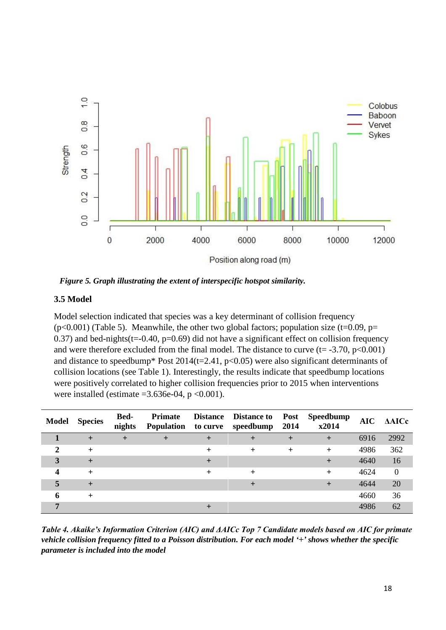

*Figure 5. Graph illustrating the extent of interspecific hotspot similarity.*

#### **3.5 Model**

Model selection indicated that species was a key determinant of collision frequency  $(p<0.001)$  (Table 5). Meanwhile, the other two global factors; population size (t=0.09, p= 0.37) and bed-nights( $t = 0.40$ ,  $p = 0.69$ ) did not have a significant effect on collision frequency and were therefore excluded from the final model. The distance to curve  $(t= -3.70, p<0.001)$ and distance to speedbump\* Post  $2014(t=2.41, p<0.05)$  were also significant determinants of collision locations (see Table 1). Interestingly, the results indicate that speedbump locations were positively correlated to higher collision frequencies prior to 2015 when interventions were installed (estimate  $=3.636e-04$ , p  $<0.001$ ).

| <b>Model</b> | <b>Species</b> | <b>Bed-</b><br>nights | Primate | Distance Distance to<br>Population to curve speedbump | Post<br>2014     | <b>Speedbump</b><br>x2014 | $\bf AIC$ | <b>AAICc</b> |
|--------------|----------------|-----------------------|---------|-------------------------------------------------------|------------------|---------------------------|-----------|--------------|
|              |                | $\pm$                 |         |                                                       | $\boldsymbol{+}$ | $\pm$                     | 6916      | 2992         |
|              | $\pm$          |                       |         | $\pm$                                                 | $^{+}$           | $^{+}$                    | 4986      | 362          |
| 3            | +              |                       |         |                                                       |                  |                           | 4640      | 16           |
| 4            | $\pm$          |                       |         |                                                       |                  |                           | 4624      | $\mathbf{0}$ |
| 5            |                |                       |         |                                                       |                  |                           | 4644      | 20           |
|              | $^+$           |                       |         |                                                       |                  |                           | 4660      | 36           |
|              |                |                       |         |                                                       |                  |                           | 4986      | 62           |

*Table 4. Akaike's Information Criterion (AIC) and ΔAICc Top 7 Candidate models based on AIC for primate vehicle collision frequency fitted to a Poisson distribution. For each model '+' shows whether the specific parameter is included into the model*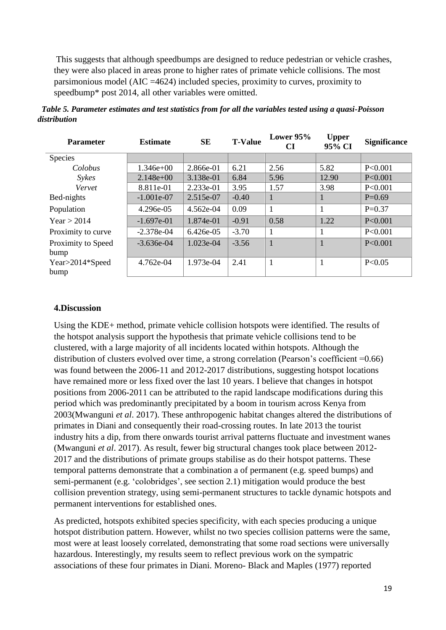This suggests that although speedbumps are designed to reduce pedestrian or vehicle crashes, they were also placed in areas prone to higher rates of primate vehicle collisions. The most parsimonious model (AIC =4624) included species, proximity to curves, proximity to speedbump\* post 2014, all other variables were omitted.

| <b>Parameter</b>   | <b>Estimate</b> | <b>SE</b>   | <b>T-Value</b> | Lower $95%$<br>CI | <b>Upper</b><br>95% CI | <b>Significance</b> |
|--------------------|-----------------|-------------|----------------|-------------------|------------------------|---------------------|
| Species            |                 |             |                |                   |                        |                     |
| Colobus            | $1.346e+00$     | 2.866e-01   | 6.21           | 2.56              | 5.82                   | P<0.001             |
| <b>Sykes</b>       | $2.148e+00$     | 3.138e-01   | 6.84           | 5.96              | 12.90                  | P<0.001             |
| Vervet             | 8.811e-01       | 2.233e-01   | 3.95           | 1.57              | 3.98                   | P<0.001             |
| Bed-nights         | $-1.001e-07$    | 2.515e-07   | $-0.40$        | $\mathbf{1}$      |                        | $P=0.69$            |
| Population         | 4.296e-05       | 4.562e-04   | 0.09           | $\mathbf{1}$      |                        | $P=0.37$            |
| Year > 2014        | $-1.697e-01$    | 1.874e-01   | $-0.91$        | 0.58              | 1.22                   | P<0.001             |
| Proximity to curve | $-2.378e-04$    | $6.426e-05$ | $-3.70$        | 1                 |                        | P<0.001             |
| Proximity to Speed | $-3.636e-04$    | $1.023e-04$ | $-3.56$        | $\mathbf{1}$      |                        | P<0.001             |
| bump               |                 |             |                |                   |                        |                     |
| Year>2014*Speed    | 4.762e-04       | 1.973e-04   | 2.41           | $\mathbf{1}$      |                        | P<0.05              |
| bump               |                 |             |                |                   |                        |                     |

 *Table 5. Parameter estimates and test statistics from for all the variables tested using a quasi-Poisson distribution*

#### **4.Discussion**

Using the KDE+ method, primate vehicle collision hotspots were identified. The results of the hotspot analysis support the hypothesis that primate vehicle collisions tend to be clustered, with a large majority of all incidents located within hotspots. Although the distribution of clusters evolved over time, a strong correlation (Pearson's coefficient =0.66) was found between the 2006-11 and 2012-2017 distributions, suggesting hotspot locations have remained more or less fixed over the last 10 years. I believe that changes in hotspot positions from 2006-2011 can be attributed to the rapid landscape modifications during this period which was predominantly precipitated by a boom in tourism across Kenya from 2003(Mwanguni *et al*. 2017). These anthropogenic habitat changes altered the distributions of primates in Diani and consequently their road-crossing routes. In late 2013 the tourist industry hits a dip, from there onwards tourist arrival patterns fluctuate and investment wanes (Mwanguni *et al*. 2017). As result, fewer big structural changes took place between 2012- 2017 and the distributions of primate groups stabilise as do their hotspot patterns. These temporal patterns demonstrate that a combination a of permanent (e.g. speed bumps) and semi-permanent (e.g. 'colobridges', see section 2.1) mitigation would produce the best collision prevention strategy, using semi-permanent structures to tackle dynamic hotspots and permanent interventions for established ones.

As predicted, hotspots exhibited species specificity, with each species producing a unique hotspot distribution pattern. However, whilst no two species collision patterns were the same, most were at least loosely correlated, demonstrating that some road sections were universally hazardous. Interestingly, my results seem to reflect previous work on the sympatric associations of these four primates in Diani. Moreno- Black and Maples (1977) reported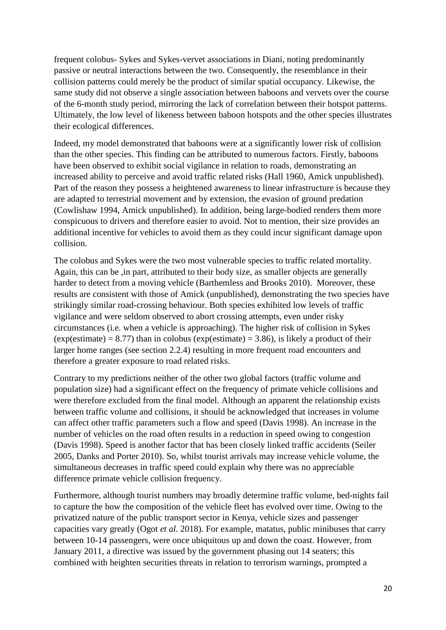frequent colobus- Sykes and Sykes-vervet associations in Diani, noting predominantly passive or neutral interactions between the two. Consequently, the resemblance in their collision patterns could merely be the product of similar spatial occupancy. Likewise, the same study did not observe a single association between baboons and vervets over the course of the 6-month study period, mirroring the lack of correlation between their hotspot patterns. Ultimately, the low level of likeness between baboon hotspots and the other species illustrates their ecological differences.

Indeed, my model demonstrated that baboons were at a significantly lower risk of collision than the other species. This finding can be attributed to numerous factors. Firstly, baboons have been observed to exhibit social vigilance in relation to roads, demonstrating an increased ability to perceive and avoid traffic related risks (Hall 1960, Amick unpublished). Part of the reason they possess a heightened awareness to linear infrastructure is because they are adapted to terrestrial movement and by extension, the evasion of ground predation (Cowlishaw 1994, Amick unpublished). In addition, being large-bodied renders them more conspicuous to drivers and therefore easier to avoid. Not to mention, their size provides an additional incentive for vehicles to avoid them as they could incur significant damage upon collision.

The colobus and Sykes were the two most vulnerable species to traffic related mortality. Again, this can be ,in part, attributed to their body size, as smaller objects are generally harder to detect from a moving vehicle (Barthemless and Brooks 2010). Moreover, these results are consistent with those of Amick (unpublished), demonstrating the two species have strikingly similar road-crossing behaviour. Both species exhibited low levels of traffic vigilance and were seldom observed to abort crossing attempts, even under risky circumstances (i.e. when a vehicle is approaching). The higher risk of collision in Sykes  $(exp(estimate) = 8.77)$  than in colobus  $(exp(estimate) = 3.86)$ , is likely a product of their larger home ranges (see section 2.2.4) resulting in more frequent road encounters and therefore a greater exposure to road related risks.

Contrary to my predictions neither of the other two global factors (traffic volume and population size) had a significant effect on the frequency of primate vehicle collisions and were therefore excluded from the final model. Although an apparent the relationship exists between traffic volume and collisions, it should be acknowledged that increases in volume can affect other traffic parameters such a flow and speed (Davis 1998). An increase in the number of vehicles on the road often results in a reduction in speed owing to congestion (Davis 1998). Speed is another factor that has been closely linked traffic accidents (Seiler 2005, Danks and Porter 2010). So, whilst tourist arrivals may increase vehicle volume, the simultaneous decreases in traffic speed could explain why there was no appreciable difference primate vehicle collision frequency.

Furthermore, although tourist numbers may broadly determine traffic volume, bed-nights fail to capture the how the composition of the vehicle fleet has evolved over time. Owing to the privatized nature of the public transport sector in Kenya, vehicle sizes and passenger capacities vary greatly (Ogot *et al.* 2018). For example, matatus, public minibuses that carry between 10-14 passengers, were once ubiquitous up and down the coast. However, from January 2011, a directive was issued by the government phasing out 14 seaters; this combined with heighten securities threats in relation to terrorism warnings, prompted a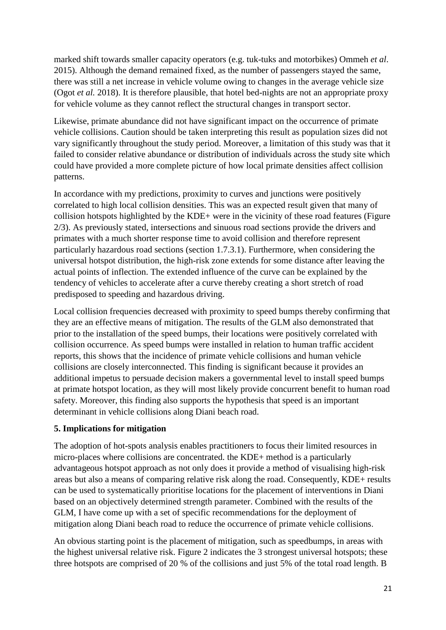marked shift towards smaller capacity operators (e.g. tuk-tuks and motorbikes) Ommeh *et al*. 2015). Although the demand remained fixed, as the number of passengers stayed the same, there was still a net increase in vehicle volume owing to changes in the average vehicle size (Ogot *et al.* 2018). It is therefore plausible, that hotel bed-nights are not an appropriate proxy for vehicle volume as they cannot reflect the structural changes in transport sector.

Likewise, primate abundance did not have significant impact on the occurrence of primate vehicle collisions. Caution should be taken interpreting this result as population sizes did not vary significantly throughout the study period. Moreover, a limitation of this study was that it failed to consider relative abundance or distribution of individuals across the study site which could have provided a more complete picture of how local primate densities affect collision patterns.

In accordance with my predictions, proximity to curves and junctions were positively correlated to high local collision densities. This was an expected result given that many of collision hotspots highlighted by the KDE+ were in the vicinity of these road features (Figure 2/3). As previously stated, intersections and sinuous road sections provide the drivers and primates with a much shorter response time to avoid collision and therefore represent particularly hazardous road sections (section 1.7.3.1). Furthermore, when considering the universal hotspot distribution, the high-risk zone extends for some distance after leaving the actual points of inflection. The extended influence of the curve can be explained by the tendency of vehicles to accelerate after a curve thereby creating a short stretch of road predisposed to speeding and hazardous driving.

Local collision frequencies decreased with proximity to speed bumps thereby confirming that they are an effective means of mitigation. The results of the GLM also demonstrated that prior to the installation of the speed bumps, their locations were positively correlated with collision occurrence. As speed bumps were installed in relation to human traffic accident reports, this shows that the incidence of primate vehicle collisions and human vehicle collisions are closely interconnected. This finding is significant because it provides an additional impetus to persuade decision makers a governmental level to install speed bumps at primate hotspot location, as they will most likely provide concurrent benefit to human road safety. Moreover, this finding also supports the hypothesis that speed is an important determinant in vehicle collisions along Diani beach road.

#### **5. Implications for mitigation**

The adoption of hot-spots analysis enables practitioners to focus their limited resources in micro-places where collisions are concentrated. the KDE+ method is a particularly advantageous hotspot approach as not only does it provide a method of visualising high-risk areas but also a means of comparing relative risk along the road. Consequently, KDE+ results can be used to systematically prioritise locations for the placement of interventions in Diani based on an objectively determined strength parameter. Combined with the results of the GLM, I have come up with a set of specific recommendations for the deployment of mitigation along Diani beach road to reduce the occurrence of primate vehicle collisions.

An obvious starting point is the placement of mitigation, such as speedbumps, in areas with the highest universal relative risk. Figure 2 indicates the 3 strongest universal hotspots; these three hotspots are comprised of 20 % of the collisions and just 5% of the total road length. B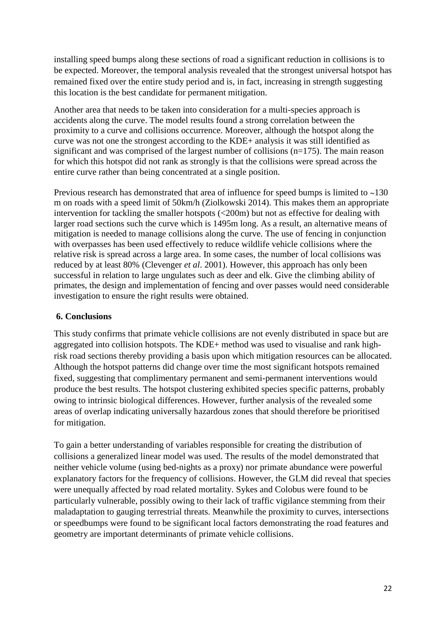installing speed bumps along these sections of road a significant reduction in collisions is to be expected. Moreover, the temporal analysis revealed that the strongest universal hotspot has remained fixed over the entire study period and is, in fact, increasing in strength suggesting this location is the best candidate for permanent mitigation.

Another area that needs to be taken into consideration for a multi-species approach is accidents along the curve. The model results found a strong correlation between the proximity to a curve and collisions occurrence. Moreover, although the hotspot along the curve was not one the strongest according to the KDE+ analysis it was still identified as significant and was comprised of the largest number of collisions (n=175). The main reason for which this hotspot did not rank as strongly is that the collisions were spread across the entire curve rather than being concentrated at a single position.

Previous research has demonstrated that area of influence for speed bumps is limited to ~130 m on roads with a speed limit of 50km/h (Ziolkowski 2014). This makes them an appropriate intervention for tackling the smaller hotspots (<200m) but not as effective for dealing with larger road sections such the curve which is 1495m long. As a result, an alternative means of mitigation is needed to manage collisions along the curve. The use of fencing in conjunction with overpasses has been used effectively to reduce wildlife vehicle collisions where the relative risk is spread across a large area. In some cases, the number of local collisions was reduced by at least 80% (Clevenger *et al*. 2001). However, this approach has only been successful in relation to large ungulates such as deer and elk. Give the climbing ability of primates, the design and implementation of fencing and over passes would need considerable investigation to ensure the right results were obtained.

#### **6. Conclusions**

This study confirms that primate vehicle collisions are not evenly distributed in space but are aggregated into collision hotspots. The KDE+ method was used to visualise and rank highrisk road sections thereby providing a basis upon which mitigation resources can be allocated. Although the hotspot patterns did change over time the most significant hotspots remained fixed, suggesting that complimentary permanent and semi-permanent interventions would produce the best results. The hotspot clustering exhibited species specific patterns, probably owing to intrinsic biological differences. However, further analysis of the revealed some areas of overlap indicating universally hazardous zones that should therefore be prioritised for mitigation.

To gain a better understanding of variables responsible for creating the distribution of collisions a generalized linear model was used. The results of the model demonstrated that neither vehicle volume (using bed-nights as a proxy) nor primate abundance were powerful explanatory factors for the frequency of collisions. However, the GLM did reveal that species were unequally affected by road related mortality. Sykes and Colobus were found to be particularly vulnerable, possibly owing to their lack of traffic vigilance stemming from their maladaptation to gauging terrestrial threats. Meanwhile the proximity to curves, intersections or speedbumps were found to be significant local factors demonstrating the road features and geometry are important determinants of primate vehicle collisions.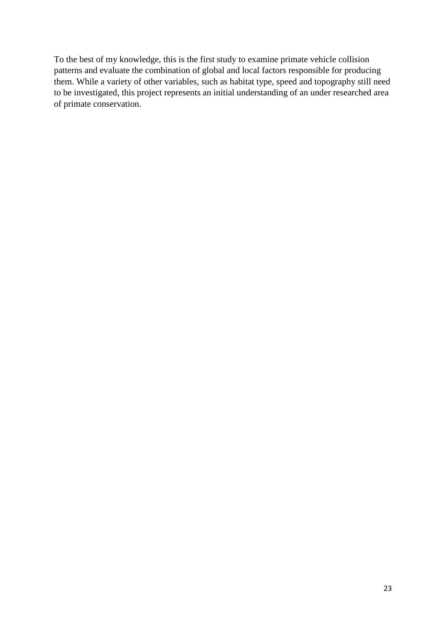To the best of my knowledge, this is the first study to examine primate vehicle collision patterns and evaluate the combination of global and local factors responsible for producing them. While a variety of other variables, such as habitat type, speed and topography still need to be investigated, this project represents an initial understanding of an under researched area of primate conservation.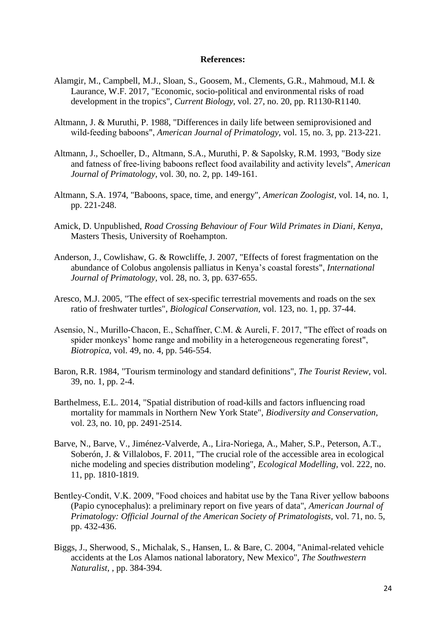#### **References:**

- Alamgir, M., Campbell, M.J., Sloan, S., Goosem, M., Clements, G.R., Mahmoud, M.I. & Laurance, W.F. 2017, "Economic, socio-political and environmental risks of road development in the tropics", *Current Biology,* vol. 27, no. 20, pp. R1130-R1140.
- Altmann, J. & Muruthi, P. 1988, "Differences in daily life between semiprovisioned and wild‐feeding baboons", *American Journal of Primatology,* vol. 15, no. 3, pp. 213-221.
- Altmann, J., Schoeller, D., Altmann, S.A., Muruthi, P. & Sapolsky, R.M. 1993, "Body size and fatness of free‐living baboons reflect food availability and activity levels", *American Journal of Primatology,* vol. 30, no. 2, pp. 149-161.
- Altmann, S.A. 1974, "Baboons, space, time, and energy", *American Zoologist,* vol. 14, no. 1, pp. 221-248.
- Amick, D. Unpublished, *Road Crossing Behaviour of Four Wild Primates in Diani, Kenya*, Masters Thesis, University of Roehampton.
- Anderson, J., Cowlishaw, G. & Rowcliffe, J. 2007, "Effects of forest fragmentation on the abundance of Colobus angolensis palliatus in Kenya's coastal forests", *International Journal of Primatology,* vol. 28, no. 3, pp. 637-655.
- Aresco, M.J. 2005, "The effect of sex-specific terrestrial movements and roads on the sex ratio of freshwater turtles", *Biological Conservation,* vol. 123, no. 1, pp. 37-44.
- Asensio, N., Murillo‐Chacon, E., Schaffner, C.M. & Aureli, F. 2017, "The effect of roads on spider monkeys' home range and mobility in a heterogeneous regenerating forest", *Biotropica,* vol. 49, no. 4, pp. 546-554.
- Baron, R.R. 1984, "Tourism terminology and standard definitions", *The Tourist Review,* vol. 39, no. 1, pp. 2-4.
- Barthelmess, E.L. 2014, "Spatial distribution of road-kills and factors influencing road mortality for mammals in Northern New York State", *Biodiversity and Conservation,*  vol. 23, no. 10, pp. 2491-2514.
- Barve, N., Barve, V., Jiménez-Valverde, A., Lira-Noriega, A., Maher, S.P., Peterson, A.T., Soberón, J. & Villalobos, F. 2011, "The crucial role of the accessible area in ecological niche modeling and species distribution modeling", *Ecological Modelling,* vol. 222, no. 11, pp. 1810-1819.
- Bentley-Condit, V.K. 2009, "Food choices and habitat use by the Tana River yellow baboons (Papio cynocephalus): a preliminary report on five years of data", *American Journal of Primatology: Official Journal of the American Society of Primatologists,* vol. 71, no. 5, pp. 432-436.
- Biggs, J., Sherwood, S., Michalak, S., Hansen, L. & Bare, C. 2004, "Animal-related vehicle accidents at the Los Alamos national laboratory, New Mexico", *The Southwestern Naturalist,* , pp. 384-394.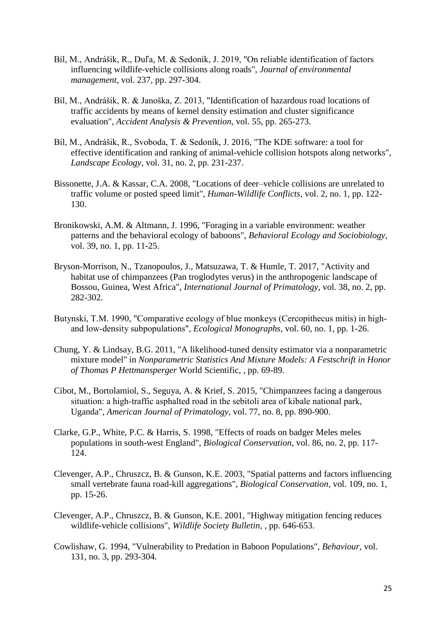- Bíl, M., Andrášik, R., Duľa, M. & Sedoník, J. 2019, "On reliable identification of factors influencing wildlife-vehicle collisions along roads", *Journal of environmental management,* vol. 237, pp. 297-304.
- Bíl, M., Andrášik, R. & Janoška, Z. 2013, "Identification of hazardous road locations of traffic accidents by means of kernel density estimation and cluster significance evaluation", *Accident Analysis & Prevention,* vol. 55, pp. 265-273.
- Bíl, M., Andrášik, R., Svoboda, T. & Sedoník, J. 2016, "The KDE software: a tool for effective identification and ranking of animal-vehicle collision hotspots along networks", *Landscape Ecology,* vol. 31, no. 2, pp. 231-237.
- Bissonette, J.A. & Kassar, C.A. 2008, "Locations of deer–vehicle collisions are unrelated to traffic volume or posted speed limit", *Human-Wildlife Conflicts,* vol. 2, no. 1, pp. 122- 130.
- Bronikowski, A.M. & Altmann, J. 1996, "Foraging in a variable environment: weather patterns and the behavioral ecology of baboons", *Behavioral Ecology and Sociobiology,* vol. 39, no. 1, pp. 11-25.
- Bryson-Morrison, N., Tzanopoulos, J., Matsuzawa, T. & Humle, T. 2017, "Activity and habitat use of chimpanzees (Pan troglodytes verus) in the anthropogenic landscape of Bossou, Guinea, West Africa", *International Journal of Primatology,* vol. 38, no. 2, pp. 282-302.
- Butynski, T.M. 1990, "Comparative ecology of blue monkeys (Cercopithecus mitis) in highand low‐density subpopulations", *Ecological Monographs,* vol. 60, no. 1, pp. 1-26.
- Chung, Y. & Lindsay, B.G. 2011, "A likelihood-tuned density estimator via a nonparametric mixture model" in *Nonparametric Statistics And Mixture Models: A Festschrift in Honor of Thomas P Hettmansperger* World Scientific, , pp. 69-89.
- Cibot, M., Bortolamiol, S., Seguya, A. & Krief, S. 2015, "Chimpanzees facing a dangerous situation: a high-traffic asphalted road in the sebitoli area of kibale national park, Uganda", *American Journal of Primatology,* vol. 77, no. 8, pp. 890-900.
- Clarke, G.P., White, P.C. & Harris, S. 1998, "Effects of roads on badger Meles meles populations in south-west England", *Biological Conservation,* vol. 86, no. 2, pp. 117- 124.
- Clevenger, A.P., Chruszcz, B. & Gunson, K.E. 2003, "Spatial patterns and factors influencing small vertebrate fauna road-kill aggregations", *Biological Conservation,* vol. 109, no. 1, pp. 15-26.
- Clevenger, A.P., Chruszcz, B. & Gunson, K.E. 2001, "Highway mitigation fencing reduces wildlife-vehicle collisions", *Wildlife Society Bulletin,* , pp. 646-653.
- Cowlishaw, G. 1994, "Vulnerability to Predation in Baboon Populations", *Behaviour,* vol. 131, no. 3, pp. 293-304.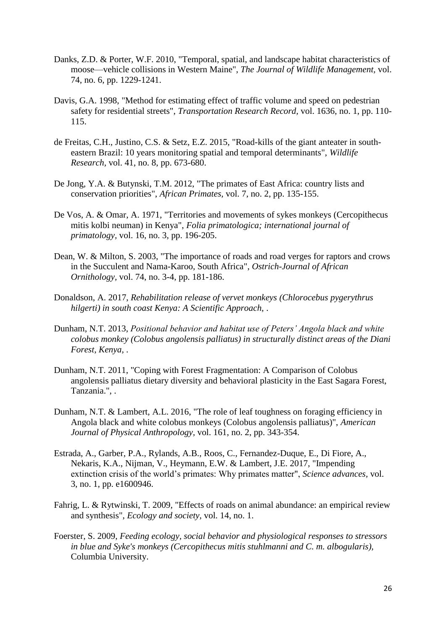- Danks, Z.D. & Porter, W.F. 2010, "Temporal, spatial, and landscape habitat characteristics of moose—vehicle collisions in Western Maine", *The Journal of Wildlife Management,* vol. 74, no. 6, pp. 1229-1241.
- Davis, G.A. 1998, "Method for estimating effect of traffic volume and speed on pedestrian safety for residential streets", *Transportation Research Record,* vol. 1636, no. 1, pp. 110- 115.
- de Freitas, C.H., Justino, C.S. & Setz, E.Z. 2015, "Road-kills of the giant anteater in southeastern Brazil: 10 years monitoring spatial and temporal determinants", *Wildlife Research,* vol. 41, no. 8, pp. 673-680.
- De Jong, Y.A. & Butynski, T.M. 2012, "The primates of East Africa: country lists and conservation priorities", *African Primates,* vol. 7, no. 2, pp. 135-155.
- De Vos, A. & Omar, A. 1971, "Territories and movements of sykes monkeys (Cercopithecus mitis kolbi neuman) in Kenya", *Folia primatologica; international journal of primatology,* vol. 16, no. 3, pp. 196-205.
- Dean, W. & Milton, S. 2003, "The importance of roads and road verges for raptors and crows in the Succulent and Nama-Karoo, South Africa", *Ostrich-Journal of African Ornithology,* vol. 74, no. 3-4, pp. 181-186.
- Donaldson, A. 2017, *Rehabilitation release of vervet monkeys (Chlorocebus pygerythrus hilgerti) in south coast Kenya: A Scientific Approach,* .
- Dunham, N.T. 2013, *Positional behavior and habitat use of Peters' Angola black and white colobus monkey (Colobus angolensis palliatus) in structurally distinct areas of the Diani Forest, Kenya,* .
- Dunham, N.T. 2011, "Coping with Forest Fragmentation: A Comparison of Colobus angolensis palliatus dietary diversity and behavioral plasticity in the East Sagara Forest, Tanzania.", .
- Dunham, N.T. & Lambert, A.L. 2016, "The role of leaf toughness on foraging efficiency in Angola black and white colobus monkeys (Colobus angolensis palliatus)", *American Journal of Physical Anthropology,* vol. 161, no. 2, pp. 343-354.
- Estrada, A., Garber, P.A., Rylands, A.B., Roos, C., Fernandez-Duque, E., Di Fiore, A., Nekaris, K.A., Nijman, V., Heymann, E.W. & Lambert, J.E. 2017, "Impending extinction crisis of the world's primates: Why primates matter", *Science advances,* vol. 3, no. 1, pp. e1600946.
- Fahrig, L. & Rytwinski, T. 2009, "Effects of roads on animal abundance: an empirical review and synthesis", *Ecology and society,* vol. 14, no. 1.
- Foerster, S. 2009, *Feeding ecology, social behavior and physiological responses to stressors in blue and Syke's monkeys (Cercopithecus mitis stuhlmanni and C. m. albogularis),*  Columbia University.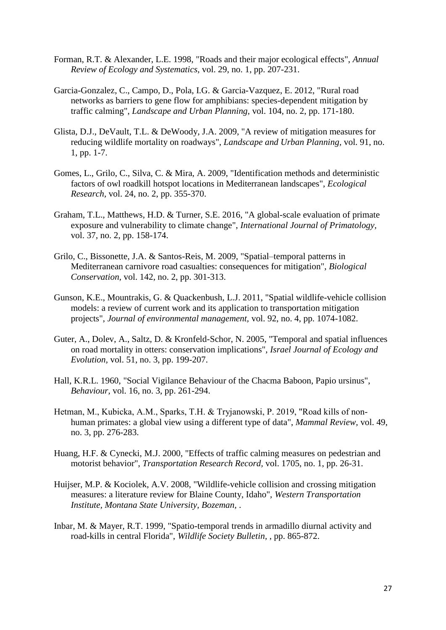- Forman, R.T. & Alexander, L.E. 1998, "Roads and their major ecological effects", *Annual Review of Ecology and Systematics,* vol. 29, no. 1, pp. 207-231.
- Garcia-Gonzalez, C., Campo, D., Pola, I.G. & Garcia-Vazquez, E. 2012, "Rural road networks as barriers to gene flow for amphibians: species-dependent mitigation by traffic calming", *Landscape and Urban Planning,* vol. 104, no. 2, pp. 171-180.
- Glista, D.J., DeVault, T.L. & DeWoody, J.A. 2009, "A review of mitigation measures for reducing wildlife mortality on roadways", *Landscape and Urban Planning,* vol. 91, no. 1, pp. 1-7.
- Gomes, L., Grilo, C., Silva, C. & Mira, A. 2009, "Identification methods and deterministic factors of owl roadkill hotspot locations in Mediterranean landscapes", *Ecological Research,* vol. 24, no. 2, pp. 355-370.
- Graham, T.L., Matthews, H.D. & Turner, S.E. 2016, "A global-scale evaluation of primate exposure and vulnerability to climate change", *International Journal of Primatology,*  vol. 37, no. 2, pp. 158-174.
- Grilo, C., Bissonette, J.A. & Santos-Reis, M. 2009, "Spatial–temporal patterns in Mediterranean carnivore road casualties: consequences for mitigation", *Biological Conservation,* vol. 142, no. 2, pp. 301-313.
- Gunson, K.E., Mountrakis, G. & Quackenbush, L.J. 2011, "Spatial wildlife-vehicle collision models: a review of current work and its application to transportation mitigation projects", *Journal of environmental management,* vol. 92, no. 4, pp. 1074-1082.
- Guter, A., Dolev, A., Saltz, D. & Kronfeld-Schor, N. 2005, "Temporal and spatial influences on road mortality in otters: conservation implications", *Israel Journal of Ecology and Evolution,* vol. 51, no. 3, pp. 199-207.
- Hall, K.R.L. 1960, "Social Vigilance Behaviour of the Chacma Baboon, Papio ursinus", *Behaviour,* vol. 16, no. 3, pp. 261-294.
- Hetman, M., Kubicka, A.M., Sparks, T.H. & Tryjanowski, P. 2019, "Road kills of non‐ human primates: a global view using a different type of data", *Mammal Review,* vol. 49, no. 3, pp. 276-283.
- Huang, H.F. & Cynecki, M.J. 2000, "Effects of traffic calming measures on pedestrian and motorist behavior", *Transportation Research Record,* vol. 1705, no. 1, pp. 26-31.
- Huijser, M.P. & Kociolek, A.V. 2008, "Wildlife-vehicle collision and crossing mitigation measures: a literature review for Blaine County, Idaho", *Western Transportation Institute, Montana State University, Bozeman,* .
- Inbar, M. & Mayer, R.T. 1999, "Spatio-temporal trends in armadillo diurnal activity and road-kills in central Florida", *Wildlife Society Bulletin,* , pp. 865-872.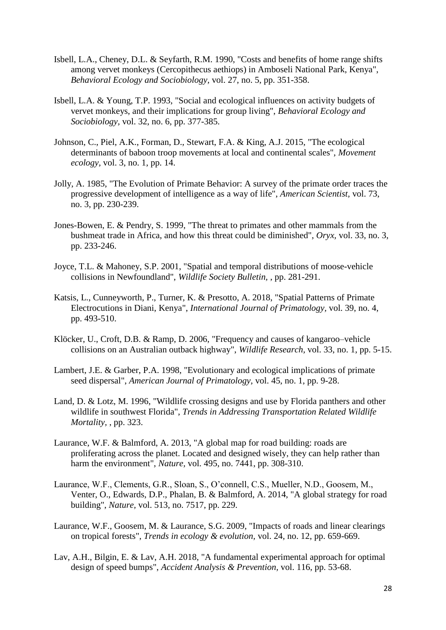- Isbell, L.A., Cheney, D.L. & Seyfarth, R.M. 1990, "Costs and benefits of home range shifts among vervet monkeys (Cercopithecus aethiops) in Amboseli National Park, Kenya", *Behavioral Ecology and Sociobiology,* vol. 27, no. 5, pp. 351-358.
- Isbell, L.A. & Young, T.P. 1993, "Social and ecological influences on activity budgets of vervet monkeys, and their implications for group living", *Behavioral Ecology and Sociobiology,* vol. 32, no. 6, pp. 377-385.
- Johnson, C., Piel, A.K., Forman, D., Stewart, F.A. & King, A.J. 2015, "The ecological determinants of baboon troop movements at local and continental scales", *Movement ecology,* vol. 3, no. 1, pp. 14.
- Jolly, A. 1985, "The Evolution of Primate Behavior: A survey of the primate order traces the progressive development of intelligence as a way of life", *American Scientist,* vol. 73, no. 3, pp. 230-239.
- Jones-Bowen, E. & Pendry, S. 1999, "The threat to primates and other mammals from the bushmeat trade in Africa, and how this threat could be diminished", *Oryx,* vol. 33, no. 3, pp. 233-246.
- Joyce, T.L. & Mahoney, S.P. 2001, "Spatial and temporal distributions of moose-vehicle collisions in Newfoundland", *Wildlife Society Bulletin,* , pp. 281-291.
- Katsis, L., Cunneyworth, P., Turner, K. & Presotto, A. 2018, "Spatial Patterns of Primate Electrocutions in Diani, Kenya", *International Journal of Primatology,* vol. 39, no. 4, pp. 493-510.
- Klöcker, U., Croft, D.B. & Ramp, D. 2006, "Frequency and causes of kangaroo–vehicle collisions on an Australian outback highway", *Wildlife Research,* vol. 33, no. 1, pp. 5-15.
- Lambert, J.E. & Garber, P.A. 1998, "Evolutionary and ecological implications of primate seed dispersal", *American Journal of Primatology,* vol. 45, no. 1, pp. 9-28.
- Land, D. & Lotz, M. 1996, "Wildlife crossing designs and use by Florida panthers and other wildlife in southwest Florida", *Trends in Addressing Transportation Related Wildlife Mortality,* , pp. 323.
- Laurance, W.F. & Balmford, A. 2013, "A global map for road building: roads are proliferating across the planet. Located and designed wisely, they can help rather than harm the environment", *Nature,* vol. 495, no. 7441, pp. 308-310.
- Laurance, W.F., Clements, G.R., Sloan, S., O'connell, C.S., Mueller, N.D., Goosem, M., Venter, O., Edwards, D.P., Phalan, B. & Balmford, A. 2014, "A global strategy for road building", *Nature,* vol. 513, no. 7517, pp. 229.
- Laurance, W.F., Goosem, M. & Laurance, S.G. 2009, "Impacts of roads and linear clearings on tropical forests", *Trends in ecology & evolution,* vol. 24, no. 12, pp. 659-669.
- Lav, A.H., Bilgin, E. & Lav, A.H. 2018, "A fundamental experimental approach for optimal design of speed bumps", *Accident Analysis & Prevention,* vol. 116, pp. 53-68.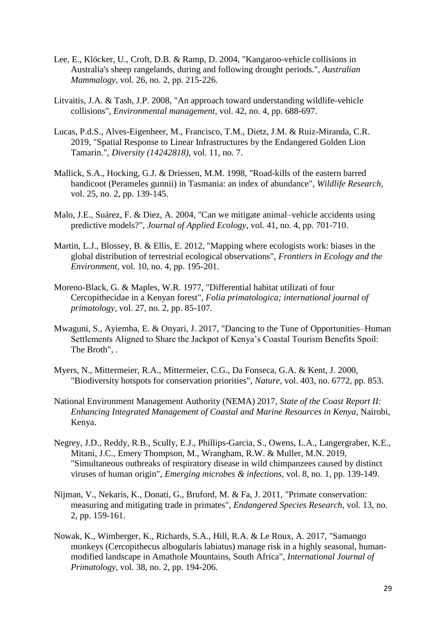- Lee, E., Klöcker, U., Croft, D.B. & Ramp, D. 2004, "Kangaroo-vehicle collisions in Australia's sheep rangelands, during and following drought periods.", *Australian Mammalogy,* vol. 26, no. 2, pp. 215-226.
- Litvaitis, J.A. & Tash, J.P. 2008, "An approach toward understanding wildlife-vehicle collisions", *Environmental management,* vol. 42, no. 4, pp. 688-697.
- Lucas, P.d.S., Alves-Eigenheer, M., Francisco, T.M., Dietz, J.M. & Ruiz-Miranda, C.R. 2019, "Spatial Response to Linear Infrastructures by the Endangered Golden Lion Tamarin.", *Diversity (14242818),* vol. 11, no. 7.
- Mallick, S.A., Hocking, G.J. & Driessen, M.M. 1998, "Road-kills of the eastern barred bandicoot (Perameles gunnii) in Tasmania: an index of abundance", *Wildlife Research,*  vol. 25, no. 2, pp. 139-145.
- Malo, J.E., Suárez, F. & Diez, A. 2004, "Can we mitigate animal–vehicle accidents using predictive models?", *Journal of Applied Ecology,* vol. 41, no. 4, pp. 701-710.
- Martin, L.J., Blossey, B. & Ellis, E. 2012, "Mapping where ecologists work: biases in the global distribution of terrestrial ecological observations", *Frontiers in Ecology and the Environment,* vol. 10, no. 4, pp. 195-201.
- Moreno-Black, G. & Maples, W.R. 1977, "Differential habitat utilizati of four Cercopithecidae in a Kenyan forest", *Folia primatologica; international journal of primatology,* vol. 27, no. 2, pp. 85-107.
- Mwaguni, S., Ayiemba, E. & Onyari, J. 2017, "Dancing to the Tune of Opportunities–Human Settlements Aligned to Share the Jackpot of Kenya's Coastal Tourism Benefits Spoil: The Broth", .
- Myers, N., Mittermeier, R.A., Mittermeier, C.G., Da Fonseca, G.A. & Kent, J. 2000, "Biodiversity hotspots for conservation priorities", *Nature,* vol. 403, no. 6772, pp. 853.
- National Environment Management Authority (NEMA) 2017, *State of the Coast Report II: Enhancing Integrated Management of Coastal and Marine Resources in Kenya*, Nairobi, Kenya.
- Negrey, J.D., Reddy, R.B., Scully, E.J., Phillips-Garcia, S., Owens, L.A., Langergraber, K.E., Mitani, J.C., Emery Thompson, M., Wrangham, R.W. & Muller, M.N. 2019, "Simultaneous outbreaks of respiratory disease in wild chimpanzees caused by distinct viruses of human origin", *Emerging microbes & infections,* vol. 8, no. 1, pp. 139-149.
- Nijman, V., Nekaris, K., Donati, G., Bruford, M. & Fa, J. 2011, "Primate conservation: measuring and mitigating trade in primates", *Endangered Species Research,* vol. 13, no. 2, pp. 159-161.
- Nowak, K., Wimberger, K., Richards, S.A., Hill, R.A. & Le Roux, A. 2017, "Samango monkeys (Cercopithecus albogularis labiatus) manage risk in a highly seasonal, humanmodified landscape in Amathole Mountains, South Africa", *International Journal of Primatology,* vol. 38, no. 2, pp. 194-206.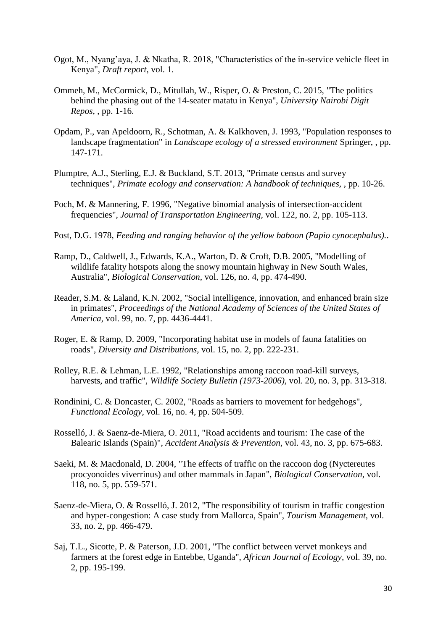- Ogot, M., Nyang'aya, J. & Nkatha, R. 2018, "Characteristics of the in-service vehicle fleet in Kenya", *Draft report,* vol. 1.
- Ommeh, M., McCormick, D., Mitullah, W., Risper, O. & Preston, C. 2015, "The politics behind the phasing out of the 14-seater matatu in Kenya", *University Nairobi Digit Repos,* , pp. 1-16.
- Opdam, P., van Apeldoorn, R., Schotman, A. & Kalkhoven, J. 1993, "Population responses to landscape fragmentation" in *Landscape ecology of a stressed environment* Springer, , pp. 147-171.
- Plumptre, A.J., Sterling, E.J. & Buckland, S.T. 2013, "Primate census and survey techniques", *Primate ecology and conservation: A handbook of techniques,* , pp. 10-26.
- Poch, M. & Mannering, F. 1996, "Negative binomial analysis of intersection-accident frequencies", *Journal of Transportation Engineering,* vol. 122, no. 2, pp. 105-113.
- Post, D.G. 1978, *Feeding and ranging behavior of the yellow baboon (Papio cynocephalus).*.
- Ramp, D., Caldwell, J., Edwards, K.A., Warton, D. & Croft, D.B. 2005, "Modelling of wildlife fatality hotspots along the snowy mountain highway in New South Wales, Australia", *Biological Conservation,* vol. 126, no. 4, pp. 474-490.
- Reader, S.M. & Laland, K.N. 2002, "Social intelligence, innovation, and enhanced brain size in primates", *Proceedings of the National Academy of Sciences of the United States of America,* vol. 99, no. 7, pp. 4436-4441.
- Roger, E. & Ramp, D. 2009, "Incorporating habitat use in models of fauna fatalities on roads", *Diversity and Distributions,* vol. 15, no. 2, pp. 222-231.
- Rolley, R.E. & Lehman, L.E. 1992, "Relationships among raccoon road-kill surveys, harvests, and traffic", *Wildlife Society Bulletin (1973-2006),* vol. 20, no. 3, pp. 313-318.
- Rondinini, C. & Doncaster, C. 2002, "Roads as barriers to movement for hedgehogs", *Functional Ecology,* vol. 16, no. 4, pp. 504-509.
- Rosselló, J. & Saenz-de-Miera, O. 2011, "Road accidents and tourism: The case of the Balearic Islands (Spain)", *Accident Analysis & Prevention,* vol. 43, no. 3, pp. 675-683.
- Saeki, M. & Macdonald, D. 2004, "The effects of traffic on the raccoon dog (Nyctereutes procyonoides viverrinus) and other mammals in Japan", *Biological Conservation,* vol. 118, no. 5, pp. 559-571.
- Saenz-de-Miera, O. & Rosselló, J. 2012, "The responsibility of tourism in traffic congestion and hyper-congestion: A case study from Mallorca, Spain", *Tourism Management,* vol. 33, no. 2, pp. 466-479.
- Saj, T.L., Sicotte, P. & Paterson, J.D. 2001, "The conflict between vervet monkeys and farmers at the forest edge in Entebbe, Uganda", *African Journal of Ecology,* vol. 39, no. 2, pp. 195-199.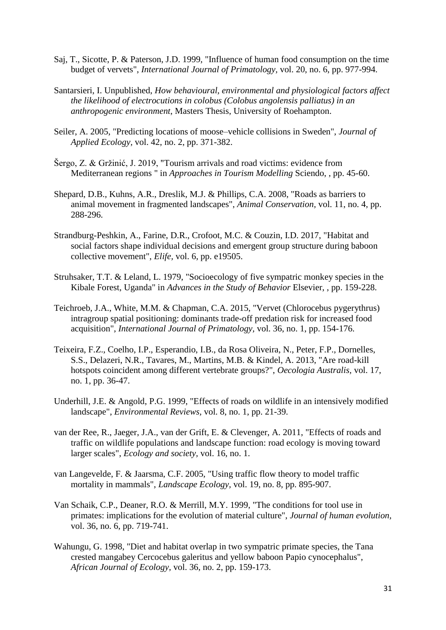- Saj, T., Sicotte, P. & Paterson, J.D. 1999, "Influence of human food consumption on the time budget of vervets", *International Journal of Primatology,* vol. 20, no. 6, pp. 977-994.
- Santarsieri, I. Unpublished, *How behavioural, environmental and physiological factors affect the likelihood of electrocutions in colobus (Colobus angolensis palliatus) in an anthropogenic environment*, Masters Thesis, University of Roehampton.
- Seiler, A. 2005, "Predicting locations of moose–vehicle collisions in Sweden", *Journal of Applied Ecology,* vol. 42, no. 2, pp. 371-382.
- Šergo, Z. & Gržinić, J. 2019, "Tourism arrivals and road victims: evidence from Mediterranean regions " in *Approaches in Tourism Modelling* Sciendo, , pp. 45-60.
- Shepard, D.B., Kuhns, A.R., Dreslik, M.J. & Phillips, C.A. 2008, "Roads as barriers to animal movement in fragmented landscapes", *Animal Conservation,* vol. 11, no. 4, pp. 288-296.
- Strandburg-Peshkin, A., Farine, D.R., Crofoot, M.C. & Couzin, I.D. 2017, "Habitat and social factors shape individual decisions and emergent group structure during baboon collective movement", *Elife,* vol. 6, pp. e19505.
- Struhsaker, T.T. & Leland, L. 1979, "Socioecology of five sympatric monkey species in the Kibale Forest, Uganda" in *Advances in the Study of Behavior* Elsevier, , pp. 159-228.
- Teichroeb, J.A., White, M.M. & Chapman, C.A. 2015, "Vervet (Chlorocebus pygerythrus) intragroup spatial positioning: dominants trade-off predation risk for increased food acquisition", *International Journal of Primatology,* vol. 36, no. 1, pp. 154-176.
- Teixeira, F.Z., Coelho, I.P., Esperandio, I.B., da Rosa Oliveira, N., Peter, F.P., Dornelles, S.S., Delazeri, N.R., Tavares, M., Martins, M.B. & Kindel, A. 2013, "Are road-kill hotspots coincident among different vertebrate groups?", *Oecologia Australis,* vol. 17, no. 1, pp. 36-47.
- Underhill, J.E. & Angold, P.G. 1999, "Effects of roads on wildlife in an intensively modified landscape", *Environmental Reviews,* vol. 8, no. 1, pp. 21-39.
- van der Ree, R., Jaeger, J.A., van der Grift, E. & Clevenger, A. 2011, "Effects of roads and traffic on wildlife populations and landscape function: road ecology is moving toward larger scales", *Ecology and society,* vol. 16, no. 1.
- van Langevelde, F. & Jaarsma, C.F. 2005, "Using traffic flow theory to model traffic mortality in mammals", *Landscape Ecology,* vol. 19, no. 8, pp. 895-907.
- Van Schaik, C.P., Deaner, R.O. & Merrill, M.Y. 1999, "The conditions for tool use in primates: implications for the evolution of material culture", *Journal of human evolution,*  vol. 36, no. 6, pp. 719-741.
- Wahungu, G. 1998, "Diet and habitat overlap in two sympatric primate species, the Tana crested mangabey Cercocebus galeritus and yellow baboon Papio cynocephalus", *African Journal of Ecology,* vol. 36, no. 2, pp. 159-173.